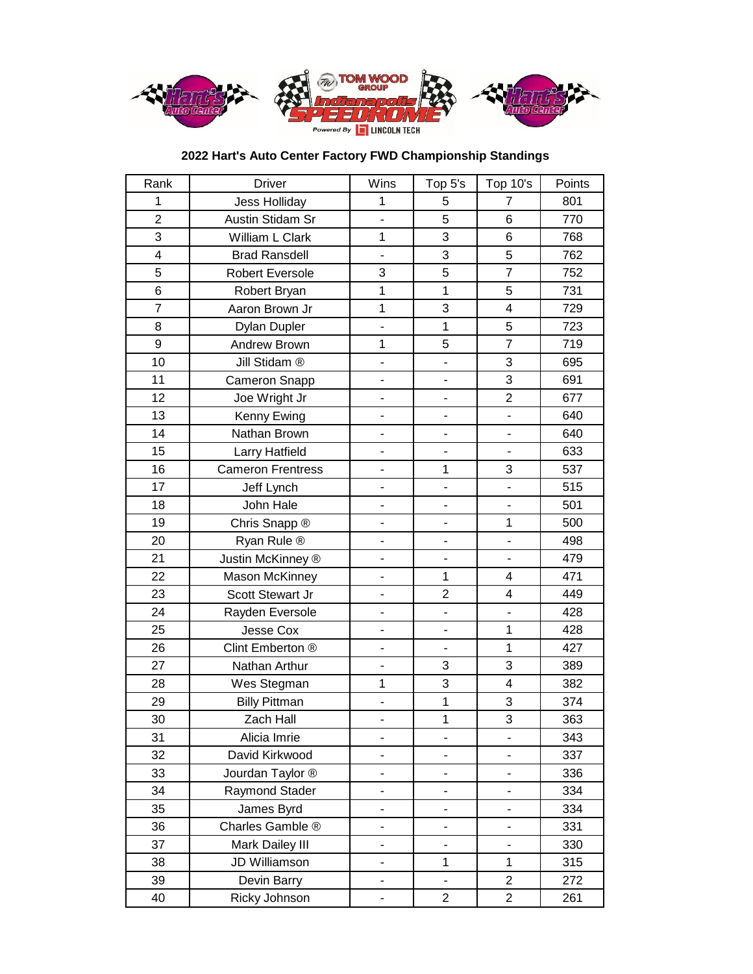

## **2022 Hart's Auto Center Factory FWD Championship Standings**

| Rank                    | <b>Driver</b>            | Wins                     | Top 5's                  | Top 10's                     | Points |
|-------------------------|--------------------------|--------------------------|--------------------------|------------------------------|--------|
| 1                       | <b>Jess Holliday</b>     | $\mathbf{1}$             | 5                        | 7                            | 801    |
| $\overline{2}$          | Austin Stidam Sr         | $\overline{a}$           | 5                        | 6                            | 770    |
| 3                       | William L Clark          | $\mathbf{1}$             | 3                        | 6                            | 768    |
| $\overline{\mathbf{4}}$ | <b>Brad Ransdell</b>     | $\overline{a}$           | 3                        | 5                            | 762    |
| 5                       | Robert Eversole          | 3                        | 5                        | $\overline{7}$               | 752    |
| $6\phantom{a}$          | Robert Bryan             | 1                        | $\mathbf{1}$             | 5                            | 731    |
| $\overline{7}$          | Aaron Brown Jr           | $\mathbf 1$              | 3                        | 4                            | 729    |
| 8                       | <b>Dylan Dupler</b>      | $\frac{1}{2}$            | $\mathbf{1}$             | 5                            | 723    |
| 9                       | Andrew Brown             | 1                        | 5                        | $\overline{7}$               | 719    |
| 10                      | Jill Stidam ®            | $\overline{a}$           |                          | 3                            | 695    |
| 11                      | Cameron Snapp            | $\overline{\phantom{0}}$ | $\overline{\phantom{m}}$ | 3                            | 691    |
| 12                      | Joe Wright Jr            |                          | $\overline{a}$           | $\overline{2}$               | 677    |
| 13                      | Kenny Ewing              | $\overline{a}$           |                          | ÷                            | 640    |
| 14                      | Nathan Brown             |                          |                          |                              | 640    |
| 15                      | Larry Hatfield           | $\overline{\phantom{0}}$ |                          |                              | 633    |
| 16                      | <b>Cameron Frentress</b> | $\blacksquare$           | $\mathbf{1}$             | 3                            | 537    |
| 17                      | Jeff Lynch               |                          |                          |                              | 515    |
| 18                      | John Hale                | $\overline{a}$           | $\overline{a}$           | ÷.                           | 501    |
| 19                      | Chris Snapp ®            | $\overline{a}$           | $\overline{a}$           | $\mathbf{1}$                 | 500    |
| 20                      | Ryan Rule ®              | $\blacksquare$           | $\blacksquare$           | $\overline{\phantom{0}}$     | 498    |
| 21                      | Justin McKinney ®        | $\overline{\phantom{a}}$ | $\overline{\phantom{a}}$ | $\overline{\phantom{a}}$     | 479    |
| 22                      | Mason McKinney           | $\overline{a}$           | $\mathbf{1}$             | 4                            | 471    |
| 23                      | Scott Stewart Jr         | $\overline{\phantom{0}}$ | $\overline{2}$           | 4                            | 449    |
| 24                      | Rayden Eversole          | $\frac{1}{2}$            | $\frac{1}{2}$            | $\frac{1}{2}$                | 428    |
| 25                      | Jesse Cox                | $\overline{a}$           | $\blacksquare$           | $\mathbf{1}$                 | 428    |
| 26                      | Clint Emberton ®         | $\overline{\phantom{0}}$ | $\overline{a}$           | $\mathbf{1}$                 | 427    |
| 27                      | Nathan Arthur            | $\overline{\phantom{0}}$ | 3                        | 3                            | 389    |
| 28                      | Wes Stegman              | $\mathbf{1}$             | 3                        | 4                            | 382    |
| 29                      | <b>Billy Pittman</b>     | $\overline{a}$           | $\mathbf{1}$             | 3                            | 374    |
| 30                      | Zach Hall                | -                        | $\mathbf 1$              | $\overline{3}$               | 363    |
| 31                      | Alicia Imrie             |                          |                          |                              | 343    |
| 32                      | David Kirkwood           | -                        |                          |                              | 337    |
| 33                      | Jourdan Taylor ®         |                          |                          |                              | 336    |
| 34                      | Raymond Stader           |                          |                          |                              | 334    |
| 35                      | James Byrd               | $\frac{1}{2}$            | $\overline{\phantom{0}}$ | $\qquad \qquad \blacksquare$ | 334    |
| 36                      | Charles Gamble ®         |                          |                          |                              | 331    |
| 37                      | Mark Dailey III          | $\overline{\phantom{0}}$ |                          | $\overline{\phantom{0}}$     | 330    |
| 38                      | JD Williamson            |                          | $\mathbf{1}$             | 1                            | 315    |
| 39                      | Devin Barry              |                          |                          | $\overline{c}$               | 272    |
| 40                      | Ricky Johnson            | -                        | $\overline{c}$           | $\overline{c}$               | 261    |